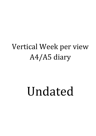## Vertical Week per view A4/A5 diary

## Undated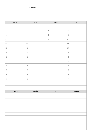This week **December**<br>2008 - December 2008<br>2008 - December 2008<br>2008 - December 2008

| Mon                                                       | Tue                                                       | Wed                                                       | Thu                                                       |
|-----------------------------------------------------------|-----------------------------------------------------------|-----------------------------------------------------------|-----------------------------------------------------------|
|                                                           |                                                           |                                                           |                                                           |
| $\,8\,$                                                   | $\,8\,$                                                   | $\, 8$                                                    | $\, 8$                                                    |
| $\mathcal{G}% _{M_{1},M_{2}}^{\alpha,\beta}(\mathcal{A})$ | $\mathcal{G}% _{M_{1},M_{2}}^{\alpha,\beta}(\varepsilon)$ | $\mathcal{G}% _{M_{1},M_{2}}^{\alpha,\beta}(\varepsilon)$ | $\mathcal{G}% _{M_{1},M_{2}}^{\alpha,\beta}(\varepsilon)$ |
| 10                                                        | $10\,$                                                    | $10\,$                                                    | $10\,$                                                    |
| 11                                                        | $11\,$                                                    | $11\,$                                                    | $11\,$                                                    |
| $12$                                                      | $12\,$                                                    | $12\,$                                                    | $12\,$                                                    |
| $\ensuremath{\mathbbm{1}}$                                | $\,1\,$                                                   | $\ensuremath{\mathbbm{1}}$                                | $\,1\,$                                                   |
| $\overline{2}$                                            | $\overline{2}$                                            | $\overline{2}$                                            | $\overline{2}$                                            |
| $\mathsf{3}$                                              | $\mathsf{3}$                                              | $\ensuremath{\mathsf{3}}$                                 | $\ensuremath{\mathsf{3}}$                                 |
| $\overline{4}$                                            | $\sqrt{4}$                                                | $\sqrt{4}$                                                | $\overline{4}$                                            |
| 5                                                         | $\mathsf S$                                               | 5                                                         | $\mathsf S$                                               |
| $\,$ 6 $\,$                                               | $\,$ $\,$ $\,$                                            | $\,$ $\,$ $\,$                                            | $\,$ $\,$ $\,$                                            |
| $\overline{\phantom{a}}$                                  | $\overline{7}$                                            | $\overline{\mathcal{I}}$                                  | $\overline{\mathcal{I}}$                                  |
|                                                           |                                                           |                                                           |                                                           |
|                                                           |                                                           |                                                           |                                                           |
| <b>Tasks</b>                                              | Tasks                                                     | Tasks                                                     | Tasks                                                     |
|                                                           |                                                           |                                                           |                                                           |
|                                                           |                                                           |                                                           |                                                           |
|                                                           |                                                           |                                                           |                                                           |
|                                                           |                                                           |                                                           |                                                           |
|                                                           |                                                           |                                                           |                                                           |
|                                                           |                                                           |                                                           |                                                           |
|                                                           |                                                           |                                                           |                                                           |
|                                                           |                                                           |                                                           |                                                           |
|                                                           |                                                           |                                                           |                                                           |
|                                                           |                                                           |                                                           |                                                           |
|                                                           |                                                           |                                                           |                                                           |